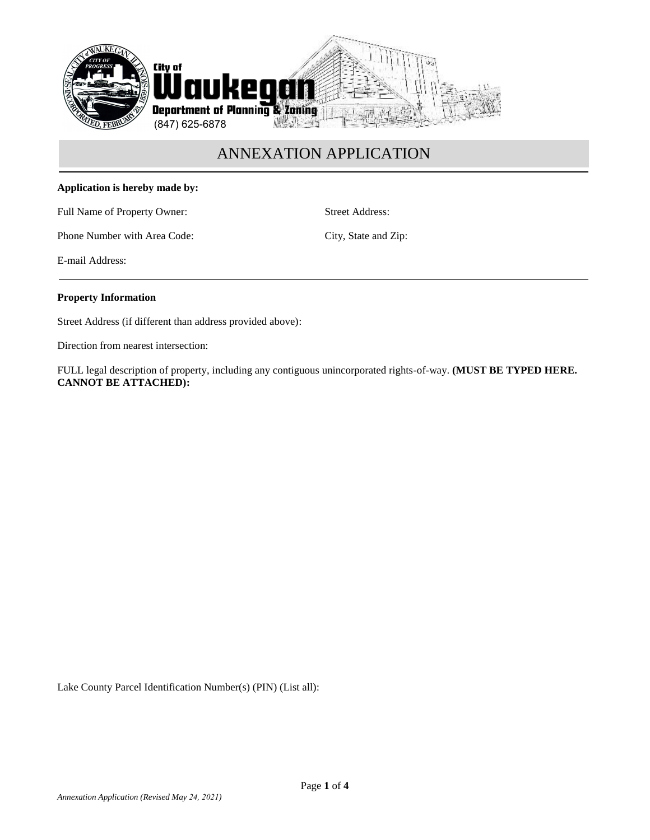

## **Application is hereby made by:**

Full Name of Property Owner: Street Address:

Phone Number with Area Code: City, State and Zip:

E-mail Address:

### **Property Information**

Street Address (if different than address provided above):

Direction from nearest intersection:

FULL legal description of property, including any contiguous unincorporated rights-of-way. **(MUST BE TYPED HERE. CANNOT BE ATTACHED):**

Lake County Parcel Identification Number(s) (PIN) (List all):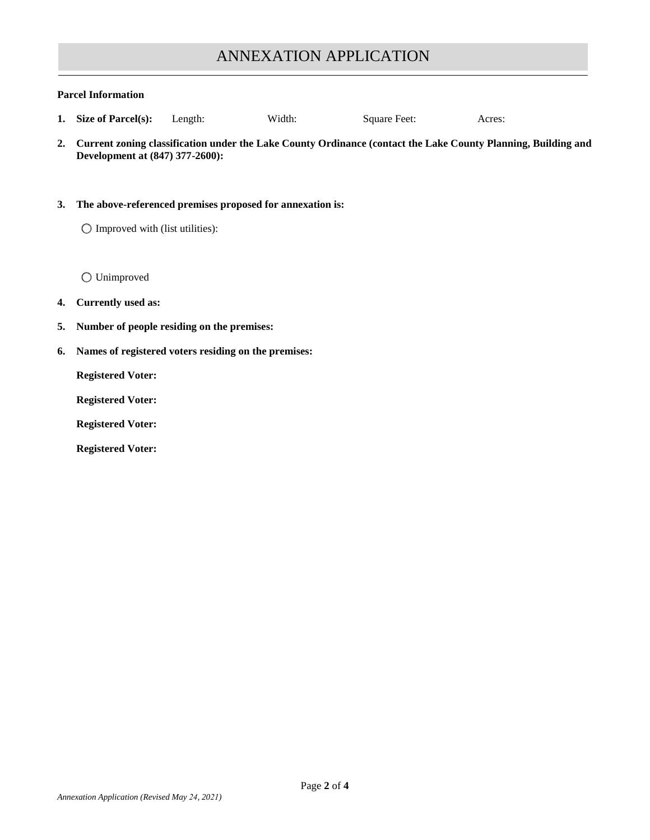### **Parcel Information**

- **1. Size of Parcel(s):** Length: Width: Square Feet: Acres:
- **2. Current zoning classification under the Lake County Ordinance (contact the Lake County Planning, Building and Development at (847) 377-2600):**

### **3. The above-referenced premises proposed for annexation is:**

 $\bigcirc$  Improved with (list utilities):

Unimproved

### **4. Currently used as:**

- **5. Number of people residing on the premises:**
- **6. Names of registered voters residing on the premises:**

**Registered Voter:**

**Registered Voter:**

**Registered Voter:**

**Registered Voter:**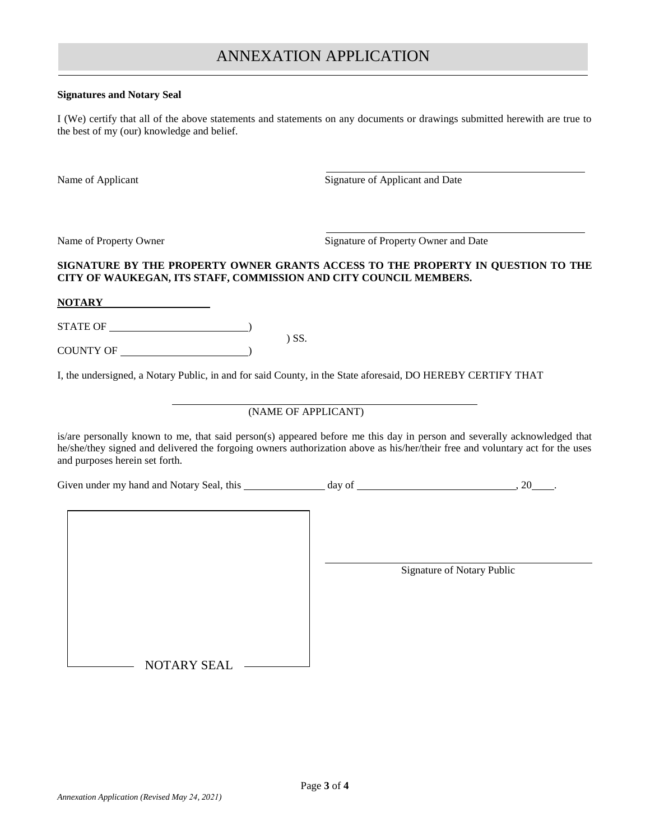### **Signatures and Notary Seal**

I (We) certify that all of the above statements and statements on any documents or drawings submitted herewith are true to the best of my (our) knowledge and belief.

Name of Applicant Signature of Applicant and Date

Name of Property Owner Signature of Property Owner and Date

## **SIGNATURE BY THE PROPERTY OWNER GRANTS ACCESS TO THE PROPERTY IN QUESTION TO THE CITY OF WAUKEGAN, ITS STAFF, COMMISSION AND CITY COUNCIL MEMBERS.**

**NOTARY**

STATE OF )

COUNTY OF <u>Services</u>

I, the undersigned, a Notary Public, in and for said County, in the State aforesaid, DO HEREBY CERTIFY THAT

) SS.

### (NAME OF APPLICANT)

is/are personally known to me, that said person(s) appeared before me this day in person and severally acknowledged that he/she/they signed and delivered the forgoing owners authorization above as his/her/their free and voluntary act for the uses and purposes herein set forth.

Given under my hand and Notary Seal, this  $\frac{1}{2}$  day of  $\frac{1}{2}$  , 20 ...

Signature of Notary Public

NOTARY SEAL